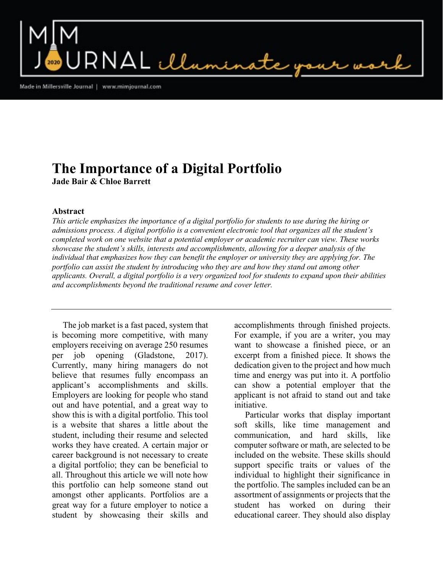$\mathsf{RNAL}\ \mathcal{L}\mathcal{L}_{\mathsf{num}}$ 

Made in Millersville Journal | www.mimjournal.com

## The Importance of a Digital Portfolio Jade Bair & Chloe Barrett

## Abstract

This article emphasizes the importance of a digital portfolio for students to use during the hiring or admissions process. A digital portfolio is a convenient electronic tool that organizes all the student's completed work on one website that a potential employer or academic recruiter can view. These works showcase the student's skills, interests and accomplishments, allowing for a deeper analysis of the individual that emphasizes how they can benefit the employer or university they are applying for. The portfolio can assist the student by introducing who they are and how they stand out among other applicants. Overall, a digital portfolio is a very organized tool for students to expand upon their abilities and accomplishments beyond the traditional resume and cover letter.

 The job market is a fast paced, system that is becoming more competitive, with many employers receiving on average 250 resumes per job opening (Gladstone, 2017). Currently, many hiring managers do not believe that resumes fully encompass an applicant's accomplishments and skills. Employers are looking for people who stand out and have potential, and a great way to show this is with a digital portfolio. This tool is a website that shares a little about the student, including their resume and selected works they have created. A certain major or career background is not necessary to create a digital portfolio; they can be beneficial to all. Throughout this article we will note how this portfolio can help someone stand out amongst other applicants. Portfolios are a great way for a future employer to notice a student by showcasing their skills and accomplishments through finished projects. For example, if you are a writer, you may want to showcase a finished piece, or an excerpt from a finished piece. It shows the dedication given to the project and how much time and energy was put into it. A portfolio can show a potential employer that the applicant is not afraid to stand out and take initiative.

 Particular works that display important soft skills, like time management and communication, and hard skills, like computer software or math, are selected to be included on the website. These skills should support specific traits or values of the individual to highlight their significance in the portfolio. The samples included can be an assortment of assignments or projects that the student has worked on during their educational career. They should also display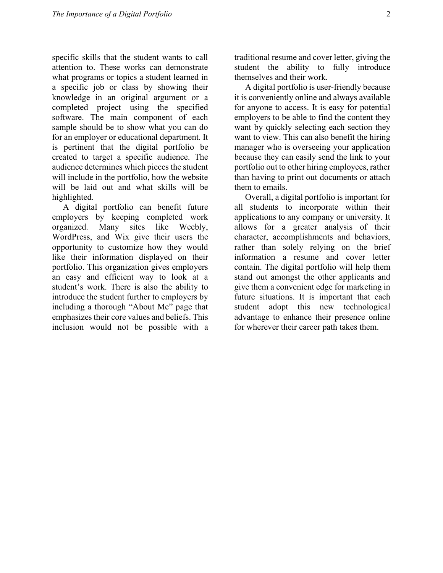specific skills that the student wants to call attention to. These works can demonstrate what programs or topics a student learned in a specific job or class by showing their knowledge in an original argument or a completed project using the specified software. The main component of each sample should be to show what you can do for an employer or educational department. It is pertinent that the digital portfolio be created to target a specific audience. The audience determines which pieces the student will include in the portfolio, how the website will be laid out and what skills will be highlighted.

 A digital portfolio can benefit future employers by keeping completed work organized. Many sites like Weebly, WordPress, and Wix give their users the opportunity to customize how they would like their information displayed on their portfolio. This organization gives employers an easy and efficient way to look at a student's work. There is also the ability to introduce the student further to employers by including a thorough "About Me" page that emphasizes their core values and beliefs. This inclusion would not be possible with a traditional resume and cover letter, giving the student the ability to fully introduce themselves and their work.

 A digital portfolio is user-friendly because it is conveniently online and always available for anyone to access. It is easy for potential employers to be able to find the content they want by quickly selecting each section they want to view. This can also benefit the hiring manager who is overseeing your application because they can easily send the link to your portfolio out to other hiring employees, rather than having to print out documents or attach them to emails.

 Overall, a digital portfolio is important for all students to incorporate within their applications to any company or university. It allows for a greater analysis of their character, accomplishments and behaviors, rather than solely relying on the brief information a resume and cover letter contain. The digital portfolio will help them stand out amongst the other applicants and give them a convenient edge for marketing in future situations. It is important that each student adopt this new technological advantage to enhance their presence online for wherever their career path takes them.